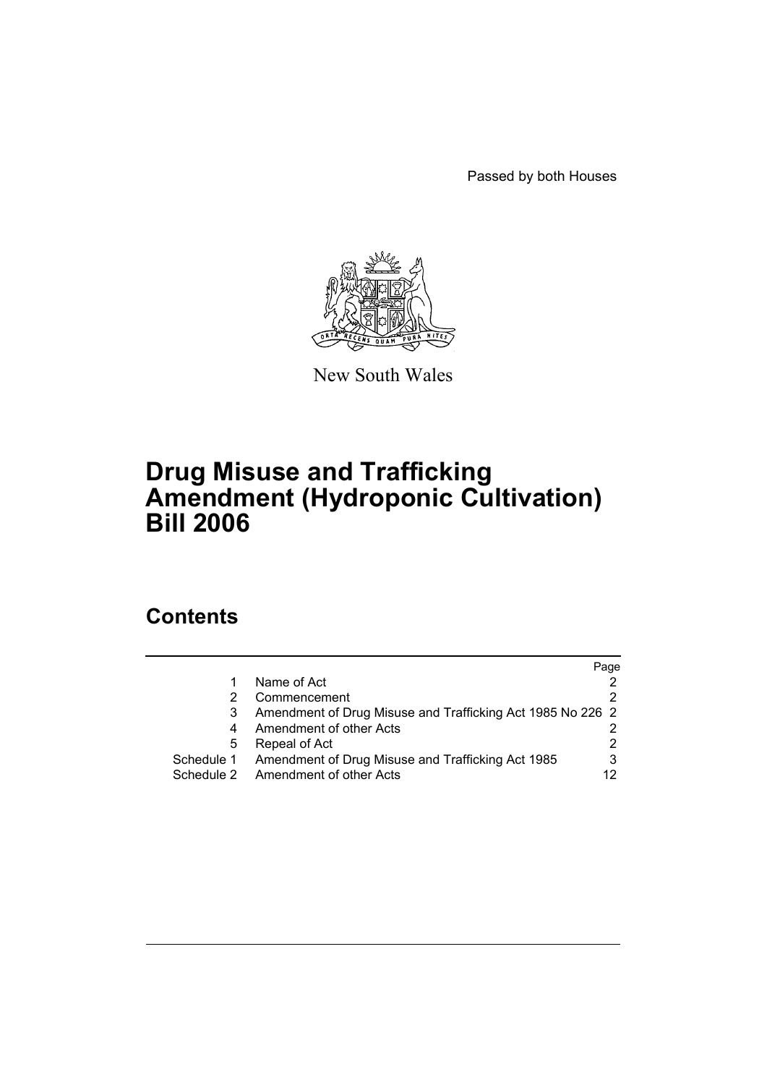Passed by both Houses



New South Wales

# **Drug Misuse and Trafficking Amendment (Hydroponic Cultivation) Bill 2006**

## **Contents**

|            |                                                            | Page |
|------------|------------------------------------------------------------|------|
|            | Name of Act                                                |      |
|            | Commencement                                               |      |
|            | Amendment of Drug Misuse and Trafficking Act 1985 No 226 2 |      |
| 4          | Amendment of other Acts                                    |      |
| 5          | Repeal of Act                                              | 2    |
| Schedule 1 | Amendment of Drug Misuse and Trafficking Act 1985          | 3    |
| Schedule 2 | Amendment of other Acts                                    | 12   |
|            |                                                            |      |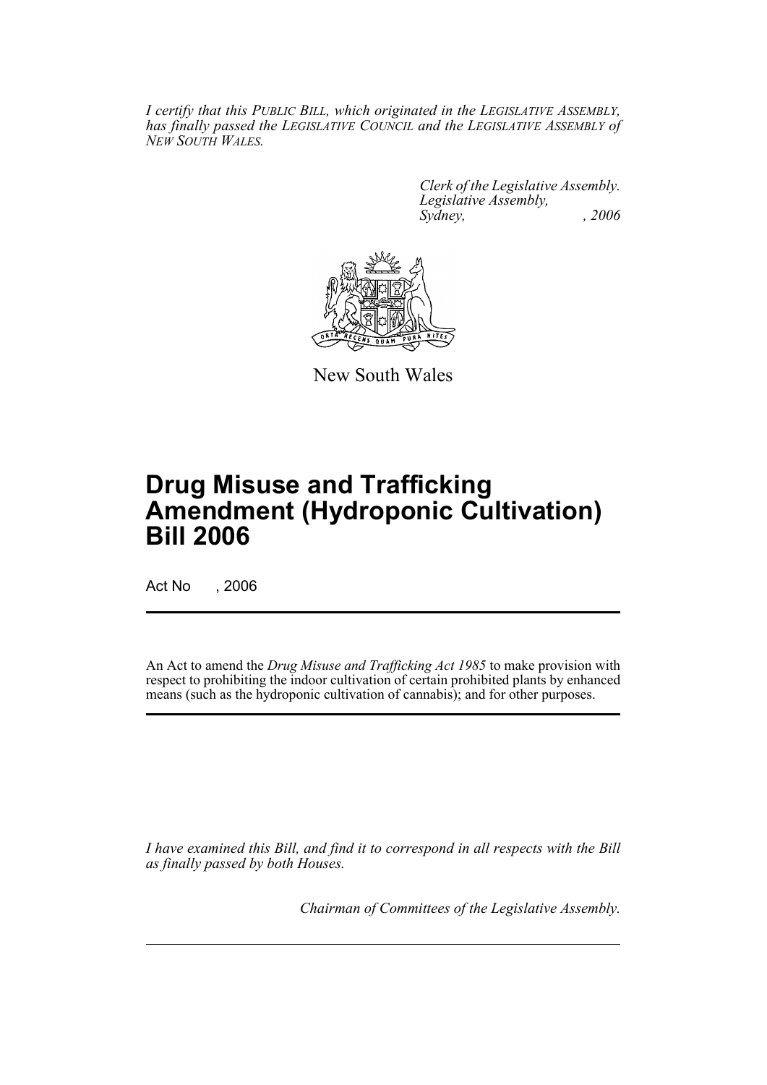*I certify that this PUBLIC BILL, which originated in the LEGISLATIVE ASSEMBLY, has finally passed the LEGISLATIVE COUNCIL and the LEGISLATIVE ASSEMBLY of NEW SOUTH WALES.*

> *Clerk of the Legislative Assembly. Legislative Assembly, Sydney, , 2006*



New South Wales

# **Drug Misuse and Trafficking Amendment (Hydroponic Cultivation) Bill 2006**

Act No , 2006

An Act to amend the *Drug Misuse and Trafficking Act 1985* to make provision with respect to prohibiting the indoor cultivation of certain prohibited plants by enhanced means (such as the hydroponic cultivation of cannabis); and for other purposes.

*I have examined this Bill, and find it to correspond in all respects with the Bill as finally passed by both Houses.*

*Chairman of Committees of the Legislative Assembly.*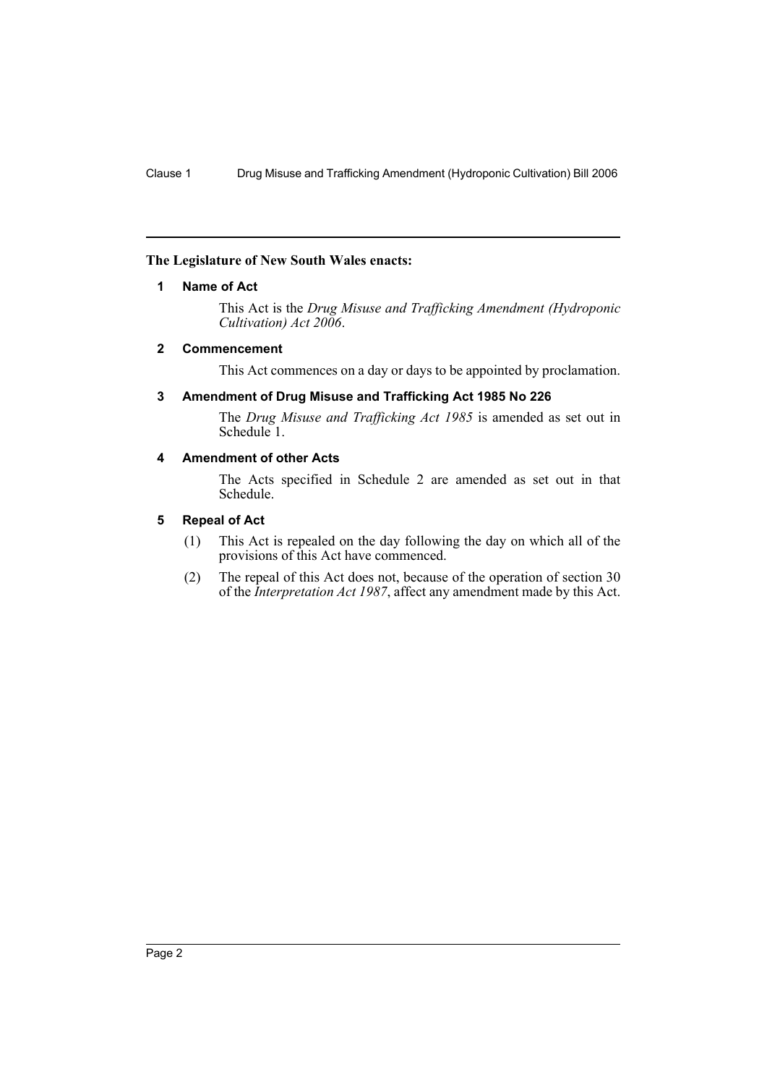## **The Legislature of New South Wales enacts:**

#### **1 Name of Act**

This Act is the *Drug Misuse and Trafficking Amendment (Hydroponic Cultivation) Act 2006*.

#### **2 Commencement**

This Act commences on a day or days to be appointed by proclamation.

## **3 Amendment of Drug Misuse and Trafficking Act 1985 No 226**

The *Drug Misuse and Trafficking Act 1985* is amended as set out in Schedule<sup>1</sup>.

## **4 Amendment of other Acts**

The Acts specified in Schedule 2 are amended as set out in that Schedule.

## **5 Repeal of Act**

- (1) This Act is repealed on the day following the day on which all of the provisions of this Act have commenced.
- (2) The repeal of this Act does not, because of the operation of section 30 of the *Interpretation Act 1987*, affect any amendment made by this Act.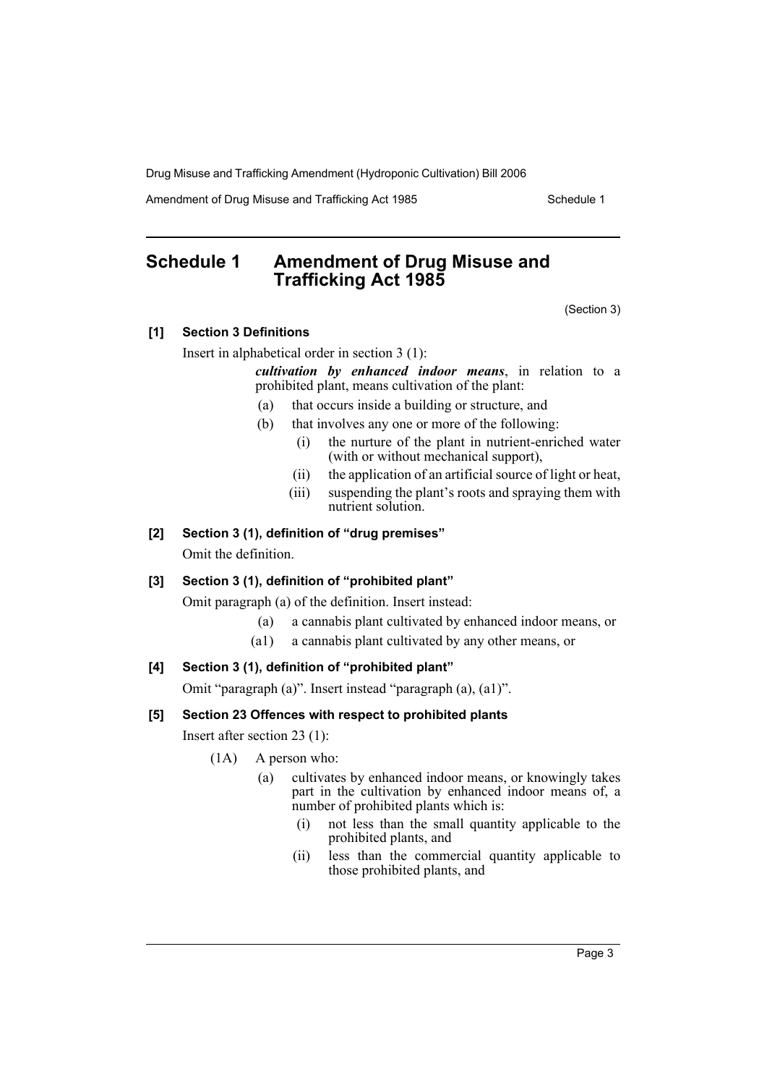Amendment of Drug Misuse and Trafficking Act 1985 Schedule 1

## **Schedule 1 Amendment of Drug Misuse and Trafficking Act 1985**

(Section 3)

## **[1] Section 3 Definitions**

Insert in alphabetical order in section 3 (1):

*cultivation by enhanced indoor means*, in relation to a prohibited plant, means cultivation of the plant:

- (a) that occurs inside a building or structure, and
- (b) that involves any one or more of the following:
	- (i) the nurture of the plant in nutrient-enriched water (with or without mechanical support),
	- (ii) the application of an artificial source of light or heat,
	- (iii) suspending the plant's roots and spraying them with nutrient solution.

## **[2] Section 3 (1), definition of "drug premises"**

Omit the definition.

## **[3] Section 3 (1), definition of "prohibited plant"**

Omit paragraph (a) of the definition. Insert instead:

- (a) a cannabis plant cultivated by enhanced indoor means, or
- (a1) a cannabis plant cultivated by any other means, or

## **[4] Section 3 (1), definition of "prohibited plant"**

Omit "paragraph (a)". Insert instead "paragraph (a), (a1)".

## **[5] Section 23 Offences with respect to prohibited plants**

Insert after section 23 (1):

- (1A) A person who:
	- (a) cultivates by enhanced indoor means, or knowingly takes part in the cultivation by enhanced indoor means of, a number of prohibited plants which is:
		- (i) not less than the small quantity applicable to the prohibited plants, and
		- (ii) less than the commercial quantity applicable to those prohibited plants, and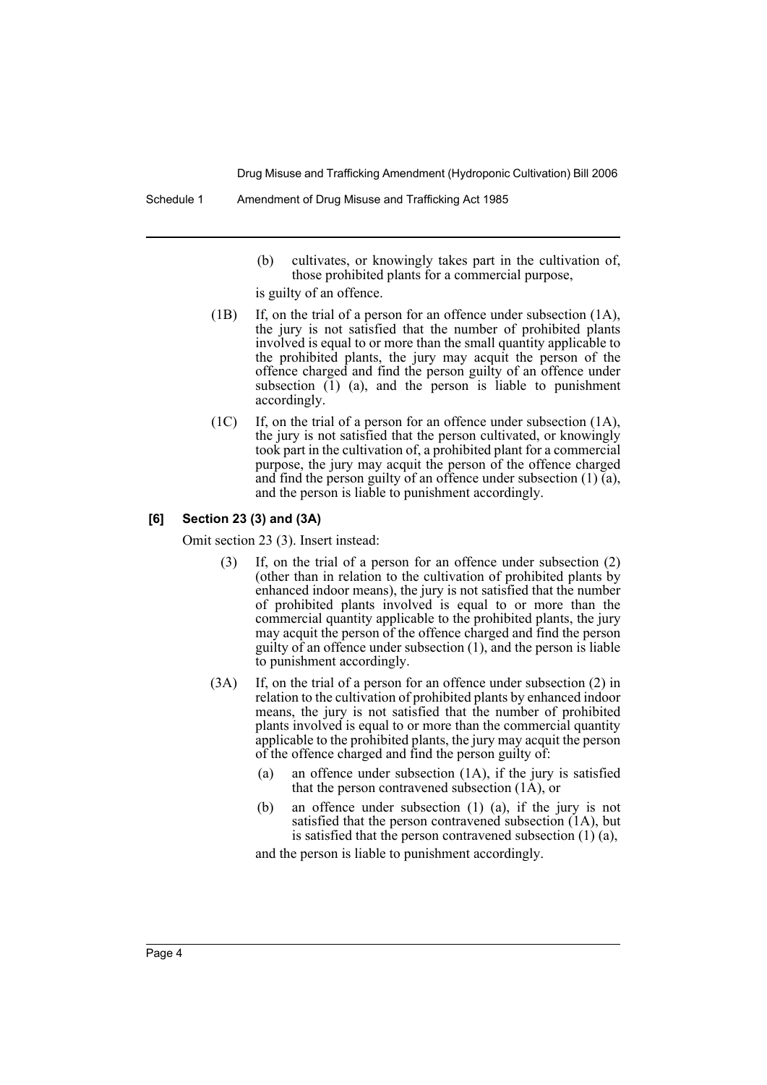- (b) cultivates, or knowingly takes part in the cultivation of, those prohibited plants for a commercial purpose,
- is guilty of an offence.
- (1B) If, on the trial of a person for an offence under subsection (1A), the jury is not satisfied that the number of prohibited plants involved is equal to or more than the small quantity applicable to the prohibited plants, the jury may acquit the person of the offence charged and find the person guilty of an offence under subsection  $(1)$   $(a)$ , and the person is liable to punishment accordingly.
- (1C) If, on the trial of a person for an offence under subsection (1A), the jury is not satisfied that the person cultivated, or knowingly took part in the cultivation of, a prohibited plant for a commercial purpose, the jury may acquit the person of the offence charged and find the person guilty of an offence under subsection (1) (a), and the person is liable to punishment accordingly.

#### **[6] Section 23 (3) and (3A)**

Omit section 23 (3). Insert instead:

- If, on the trial of a person for an offence under subsection  $(2)$ (other than in relation to the cultivation of prohibited plants by enhanced indoor means), the jury is not satisfied that the number of prohibited plants involved is equal to or more than the commercial quantity applicable to the prohibited plants, the jury may acquit the person of the offence charged and find the person guilty of an offence under subsection (1), and the person is liable to punishment accordingly.
- (3A) If, on the trial of a person for an offence under subsection (2) in relation to the cultivation of prohibited plants by enhanced indoor means, the jury is not satisfied that the number of prohibited plants involved is equal to or more than the commercial quantity applicable to the prohibited plants, the jury may acquit the person of the offence charged and find the person guilty of:
	- (a) an offence under subsection (1A), if the jury is satisfied that the person contravened subsection (1A), or
	- (b) an offence under subsection (1) (a), if the jury is not satisfied that the person contravened subsection (1A), but is satisfied that the person contravened subsection (1) (a),

and the person is liable to punishment accordingly.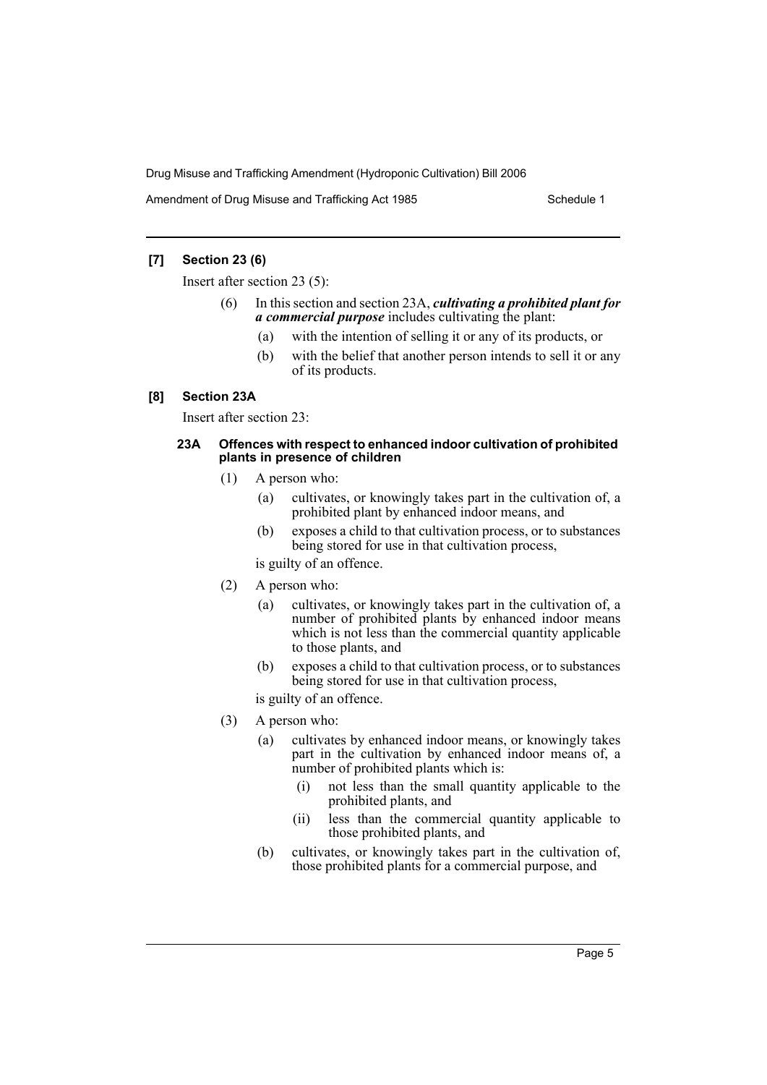Amendment of Drug Misuse and Trafficking Act 1985 Schedule 1

## **[7] Section 23 (6)**

Insert after section 23 (5):

- (6) In this section and section 23A, *cultivating a prohibited plant for a commercial purpose* includes cultivating the plant:
	- (a) with the intention of selling it or any of its products, or
	- (b) with the belief that another person intends to sell it or any of its products.

## **[8] Section 23A**

Insert after section 23:

#### **23A Offences with respect to enhanced indoor cultivation of prohibited plants in presence of children**

- (1) A person who:
	- (a) cultivates, or knowingly takes part in the cultivation of, a prohibited plant by enhanced indoor means, and
	- (b) exposes a child to that cultivation process, or to substances being stored for use in that cultivation process,
	- is guilty of an offence.
- (2) A person who:
	- (a) cultivates, or knowingly takes part in the cultivation of, a number of prohibited plants by enhanced indoor means which is not less than the commercial quantity applicable to those plants, and
	- (b) exposes a child to that cultivation process, or to substances being stored for use in that cultivation process,
	- is guilty of an offence.
- (3) A person who:
	- (a) cultivates by enhanced indoor means, or knowingly takes part in the cultivation by enhanced indoor means of, a number of prohibited plants which is:
		- (i) not less than the small quantity applicable to the prohibited plants, and
		- (ii) less than the commercial quantity applicable to those prohibited plants, and
	- (b) cultivates, or knowingly takes part in the cultivation of, those prohibited plants for a commercial purpose, and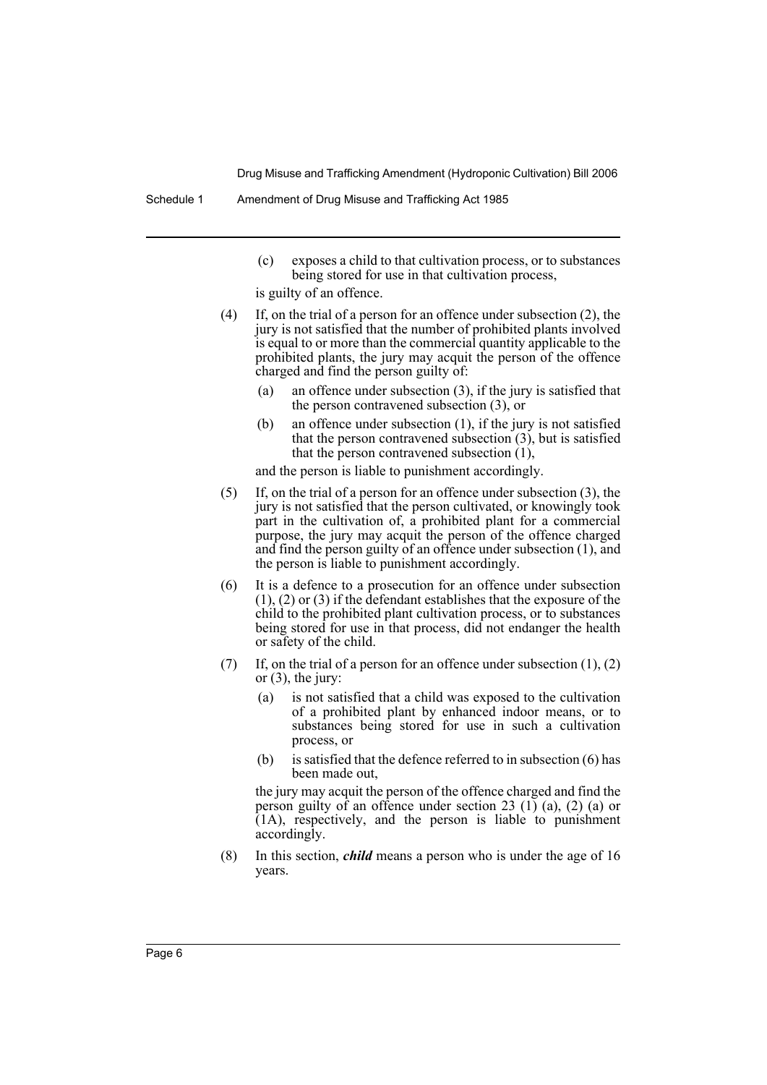- (c) exposes a child to that cultivation process, or to substances being stored for use in that cultivation process,
- is guilty of an offence.
- (4) If, on the trial of a person for an offence under subsection (2), the jury is not satisfied that the number of prohibited plants involved is equal to or more than the commercial quantity applicable to the prohibited plants, the jury may acquit the person of the offence charged and find the person guilty of:
	- (a) an offence under subsection (3), if the jury is satisfied that the person contravened subsection (3), or
	- (b) an offence under subsection (1), if the jury is not satisfied that the person contravened subsection (3), but is satisfied that the person contravened subsection (1),

and the person is liable to punishment accordingly.

- (5) If, on the trial of a person for an offence under subsection (3), the jury is not satisfied that the person cultivated, or knowingly took part in the cultivation of, a prohibited plant for a commercial purpose, the jury may acquit the person of the offence charged and find the person guilty of an offence under subsection (1), and the person is liable to punishment accordingly.
- (6) It is a defence to a prosecution for an offence under subsection (1), (2) or (3) if the defendant establishes that the exposure of the child to the prohibited plant cultivation process, or to substances being stored for use in that process, did not endanger the health or safety of the child.
- (7) If, on the trial of a person for an offence under subsection  $(1)$ ,  $(2)$ or  $(3)$ , the jury:
	- (a) is not satisfied that a child was exposed to the cultivation of a prohibited plant by enhanced indoor means, or to substances being stored for use in such a cultivation process, or
	- (b) is satisfied that the defence referred to in subsection (6) has been made out,

the jury may acquit the person of the offence charged and find the person guilty of an offence under section 23  $(1)$   $(a)$ ,  $(2)$   $(a)$  or  $(1A)$ , respectively, and the person is liable to punishment accordingly.

(8) In this section, *child* means a person who is under the age of 16 years.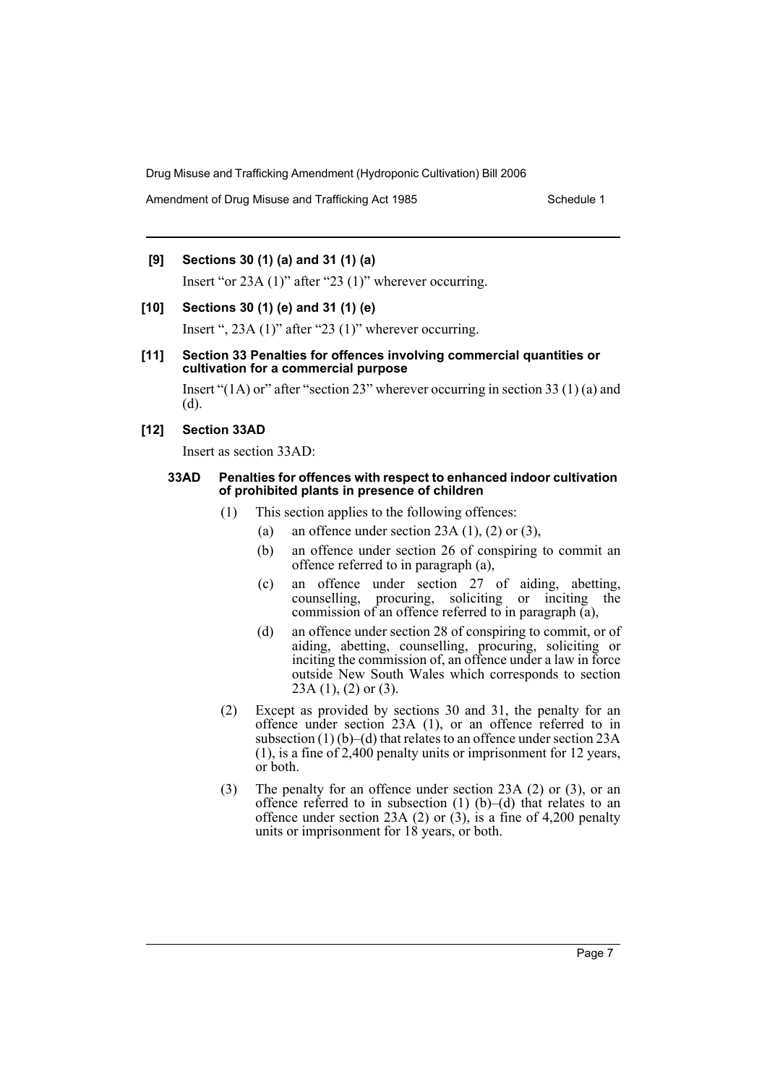Amendment of Drug Misuse and Trafficking Act 1985 Schedule 1

## **[9] Sections 30 (1) (a) and 31 (1) (a)**

Insert "or 23A (1)" after "23 (1)" wherever occurring.

#### **[10] Sections 30 (1) (e) and 31 (1) (e)**

Insert ", 23A (1)" after "23 (1)" wherever occurring.

#### **[11] Section 33 Penalties for offences involving commercial quantities or cultivation for a commercial purpose**

Insert " $(1A)$  or" after "section 23" wherever occurring in section 33 (1) (a) and (d).

#### **[12] Section 33AD**

Insert as section 33AD:

#### **33AD Penalties for offences with respect to enhanced indoor cultivation of prohibited plants in presence of children**

- (1) This section applies to the following offences:
	- (a) an offence under section 23A  $(1)$ ,  $(2)$  or  $(3)$ ,
		- (b) an offence under section 26 of conspiring to commit an offence referred to in paragraph (a),
		- (c) an offence under section 27 of aiding, abetting, counselling, procuring, soliciting or inciting the commission of an offence referred to in paragraph (a),
		- (d) an offence under section 28 of conspiring to commit, or of aiding, abetting, counselling, procuring, soliciting or inciting the commission of, an offence under a law in force outside New South Wales which corresponds to section  $23A(1)$ ,  $(2)$  or  $(3)$ .
- (2) Except as provided by sections 30 and 31, the penalty for an offence under section 23A (1), or an offence referred to in subsection  $(1)$  (b)–(d) that relates to an offence under section 23A (1), is a fine of  $2,400$  penalty units or imprisonment for 12 years, or both.
- (3) The penalty for an offence under section 23A (2) or (3), or an offence referred to in subsection  $(1)$   $(b)$ – $(d)$  that relates to an offence under section 23A (2) or (3), is a fine of 4,200 penalty units or imprisonment for 18 years, or both.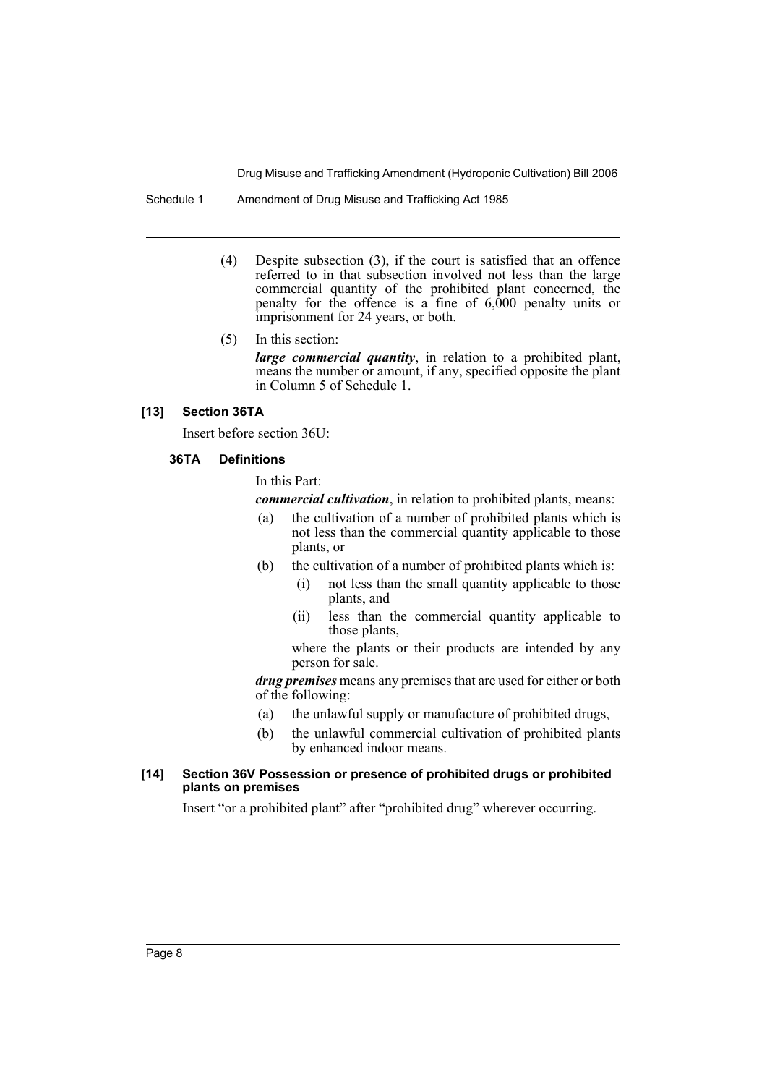Schedule 1 Amendment of Drug Misuse and Trafficking Act 1985

(4) Despite subsection (3), if the court is satisfied that an offence referred to in that subsection involved not less than the large commercial quantity of the prohibited plant concerned, the penalty for the offence is a fine of 6,000 penalty units or imprisonment for 24 years, or both.

#### (5) In this section:

*large commercial quantity*, in relation to a prohibited plant, means the number or amount, if any, specified opposite the plant in Column 5 of Schedule 1.

## **[13] Section 36TA**

Insert before section 36U:

#### **36TA Definitions**

#### In this Part:

*commercial cultivation*, in relation to prohibited plants, means:

- (a) the cultivation of a number of prohibited plants which is not less than the commercial quantity applicable to those plants, or
- (b) the cultivation of a number of prohibited plants which is:
	- (i) not less than the small quantity applicable to those plants, and
	- (ii) less than the commercial quantity applicable to those plants,

where the plants or their products are intended by any person for sale.

*drug premises* means any premises that are used for either or both of the following:

- (a) the unlawful supply or manufacture of prohibited drugs,
- (b) the unlawful commercial cultivation of prohibited plants by enhanced indoor means.

#### **[14] Section 36V Possession or presence of prohibited drugs or prohibited plants on premises**

Insert "or a prohibited plant" after "prohibited drug" wherever occurring.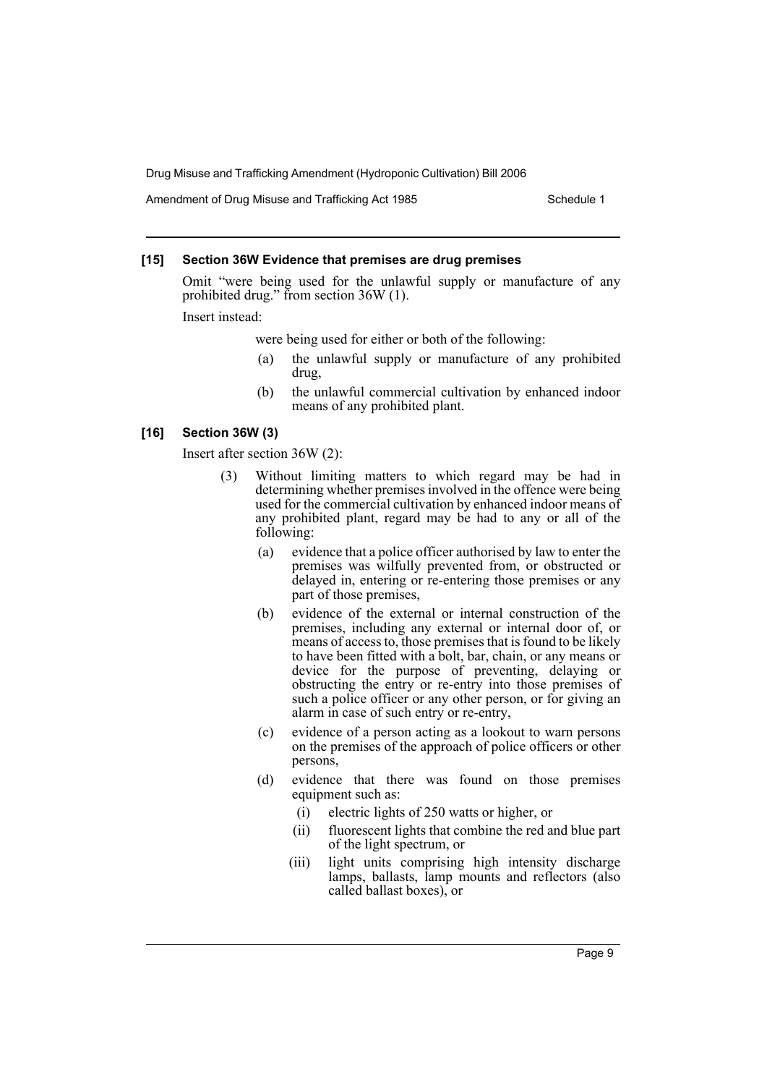Amendment of Drug Misuse and Trafficking Act 1985 Schedule 1

### **[15] Section 36W Evidence that premises are drug premises**

Omit "were being used for the unlawful supply or manufacture of any prohibited drug." from section 36W (1).

Insert instead:

were being used for either or both of the following:

- (a) the unlawful supply or manufacture of any prohibited drug,
- (b) the unlawful commercial cultivation by enhanced indoor means of any prohibited plant.

#### **[16] Section 36W (3)**

Insert after section 36W (2):

- (3) Without limiting matters to which regard may be had in determining whether premises involved in the offence were being used for the commercial cultivation by enhanced indoor means of any prohibited plant, regard may be had to any or all of the following:
	- (a) evidence that a police officer authorised by law to enter the premises was wilfully prevented from, or obstructed or delayed in, entering or re-entering those premises or any part of those premises,
	- (b) evidence of the external or internal construction of the premises, including any external or internal door of, or means of access to, those premises that is found to be likely to have been fitted with a bolt, bar, chain, or any means or device for the purpose of preventing, delaying or obstructing the entry or re-entry into those premises of such a police officer or any other person, or for giving an alarm in case of such entry or re-entry,
	- (c) evidence of a person acting as a lookout to warn persons on the premises of the approach of police officers or other persons,
	- (d) evidence that there was found on those premises equipment such as:
		- (i) electric lights of 250 watts or higher, or
		- (ii) fluorescent lights that combine the red and blue part of the light spectrum, or
		- (iii) light units comprising high intensity discharge lamps, ballasts, lamp mounts and reflectors (also called ballast boxes), or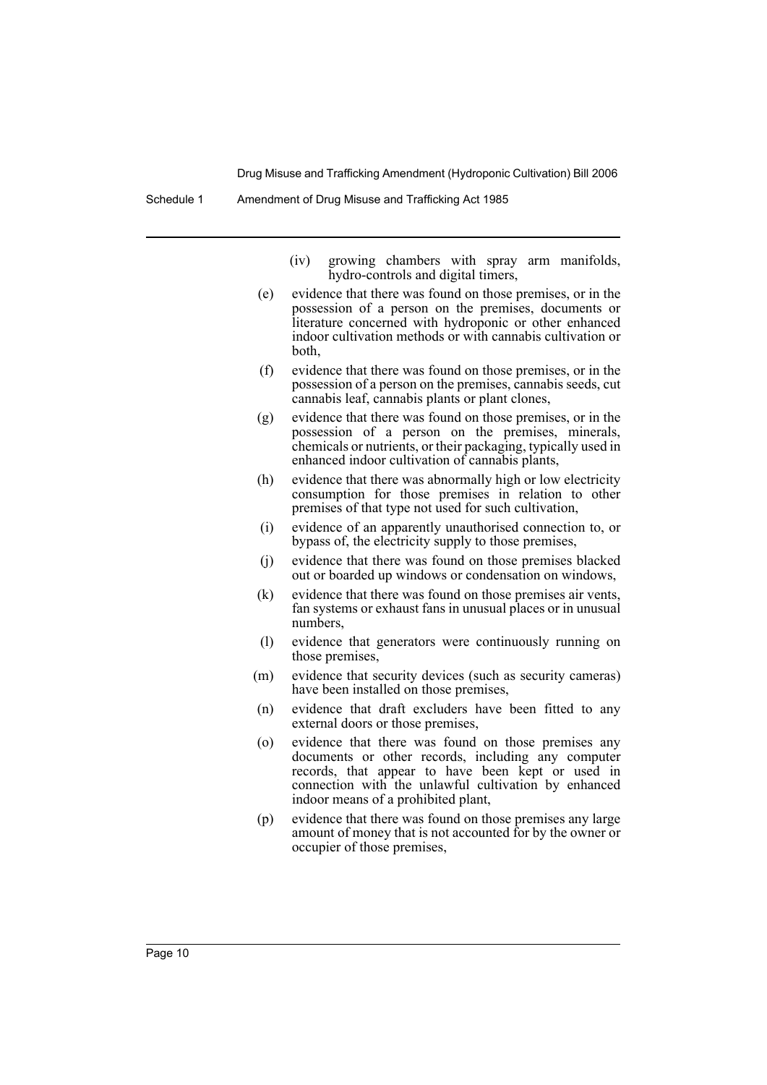Schedule 1 Amendment of Drug Misuse and Trafficking Act 1985

- (iv) growing chambers with spray arm manifolds, hydro-controls and digital timers,
- (e) evidence that there was found on those premises, or in the possession of a person on the premises, documents or literature concerned with hydroponic or other enhanced indoor cultivation methods or with cannabis cultivation or both,
- (f) evidence that there was found on those premises, or in the possession of a person on the premises, cannabis seeds, cut cannabis leaf, cannabis plants or plant clones,
- (g) evidence that there was found on those premises, or in the possession of a person on the premises, minerals, chemicals or nutrients, or their packaging, typically used in enhanced indoor cultivation of cannabis plants,
- (h) evidence that there was abnormally high or low electricity consumption for those premises in relation to other premises of that type not used for such cultivation,
- (i) evidence of an apparently unauthorised connection to, or bypass of, the electricity supply to those premises,
- (j) evidence that there was found on those premises blacked out or boarded up windows or condensation on windows,
- (k) evidence that there was found on those premises air vents, fan systems or exhaust fans in unusual places or in unusual numbers,
- (l) evidence that generators were continuously running on those premises,
- (m) evidence that security devices (such as security cameras) have been installed on those premises,
- (n) evidence that draft excluders have been fitted to any external doors or those premises,
- (o) evidence that there was found on those premises any documents or other records, including any computer records, that appear to have been kept or used in connection with the unlawful cultivation by enhanced indoor means of a prohibited plant,
- (p) evidence that there was found on those premises any large amount of money that is not accounted for by the owner or occupier of those premises,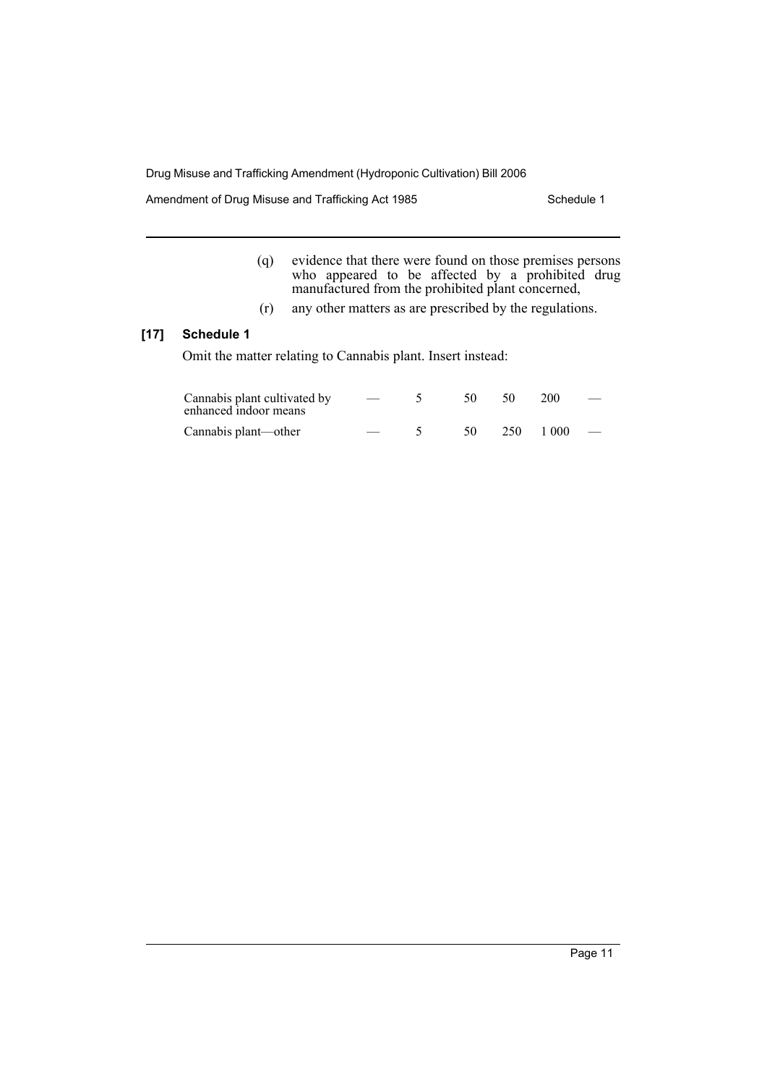Amendment of Drug Misuse and Trafficking Act 1985 Schedule 1

- (q) evidence that there were found on those premises persons who appeared to be affected by a prohibited drug manufactured from the prohibited plant concerned,
- (r) any other matters as are prescribed by the regulations.

## **[17] Schedule 1**

Omit the matter relating to Cannabis plant. Insert instead:

| Cannabis plant cultivated by<br>enhanced indoor means | $\hspace{0.05cm}$ | 50  | - 50 | <b>200</b>               | $\overline{\phantom{m}}$ |
|-------------------------------------------------------|-------------------|-----|------|--------------------------|--------------------------|
| Cannabis plant—other                                  |                   | .50 |      | $250 \quad 1000 \quad -$ |                          |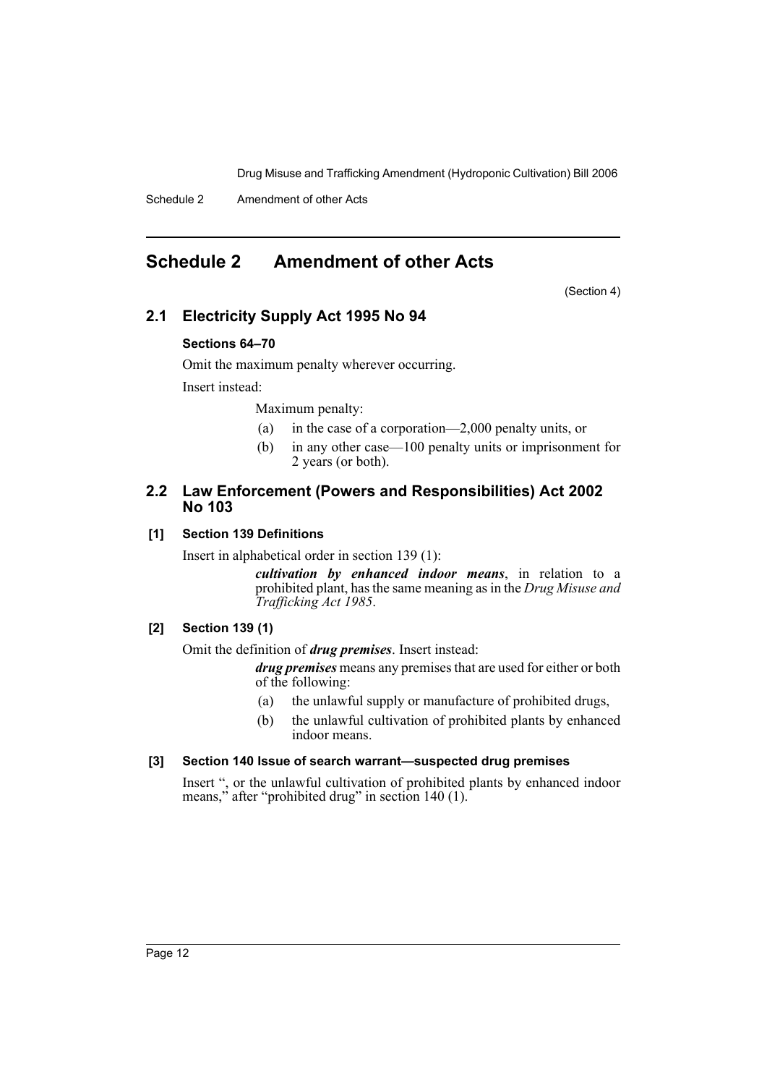Schedule 2 Amendment of other Acts

## **Schedule 2 Amendment of other Acts**

(Section 4)

## **2.1 Electricity Supply Act 1995 No 94**

## **Sections 64–70**

Omit the maximum penalty wherever occurring.

Insert instead:

Maximum penalty:

- (a) in the case of a corporation—2,000 penalty units, or
- (b) in any other case—100 penalty units or imprisonment for 2 years (or both).

## **2.2 Law Enforcement (Powers and Responsibilities) Act 2002 No 103**

## **[1] Section 139 Definitions**

Insert in alphabetical order in section 139 (1):

*cultivation by enhanced indoor means*, in relation to a prohibited plant, has the same meaning as in the *Drug Misuse and Trafficking Act 1985*.

## **[2] Section 139 (1)**

Omit the definition of *drug premises*. Insert instead:

*drug premises* means any premises that are used for either or both of the following:

- (a) the unlawful supply or manufacture of prohibited drugs,
- (b) the unlawful cultivation of prohibited plants by enhanced indoor means.

## **[3] Section 140 Issue of search warrant—suspected drug premises**

Insert ", or the unlawful cultivation of prohibited plants by enhanced indoor means," after "prohibited drug" in section 140 (1).